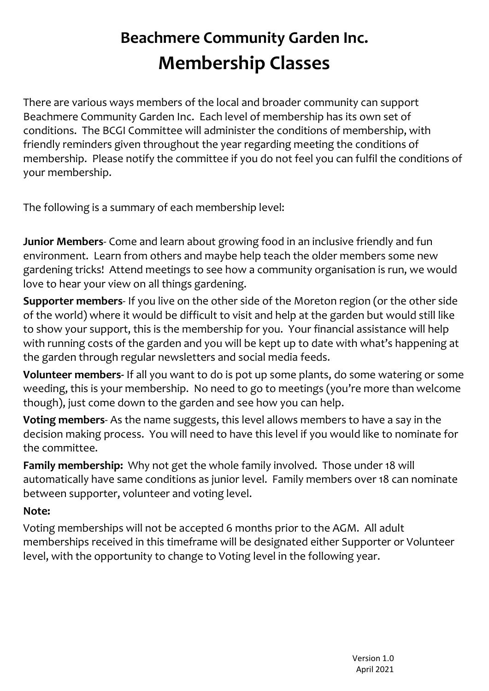## Beachmere Community Garden Inc. Membership Classes

There are various ways members of the local and broader community can support Beachmere Community Garden Inc. Each level of membership has its own set of conditions. The BCGI Committee will administer the conditions of membership, with friendly reminders given throughout the year regarding meeting the conditions of membership. Please notify the committee if you do not feel you can fulfil the conditions of your membership.

The following is a summary of each membership level:

Junior Members- Come and learn about growing food in an inclusive friendly and fun environment. Learn from others and maybe help teach the older members some new gardening tricks! Attend meetings to see how a community organisation is run, we would love to hear your view on all things gardening.

Supporter members- If you live on the other side of the Moreton region (or the other side of the world) where it would be difficult to visit and help at the garden but would still like to show your support, this is the membership for you. Your financial assistance will help with running costs of the garden and you will be kept up to date with what's happening at the garden through regular newsletters and social media feeds.

Volunteer members- If all you want to do is pot up some plants, do some watering or some weeding, this is your membership. No need to go to meetings (you're more than welcome though), just come down to the garden and see how you can help.

Voting members- As the name suggests, this level allows members to have a say in the decision making process. You will need to have this level if you would like to nominate for the committee.

Family membership: Why not get the whole family involved. Those under 18 will automatically have same conditions as junior level. Family members over 18 can nominate between supporter, volunteer and voting level.

## Note:

Voting memberships will not be accepted 6 months prior to the AGM. All adult memberships received in this timeframe will be designated either Supporter or Volunteer level, with the opportunity to change to Voting level in the following year.